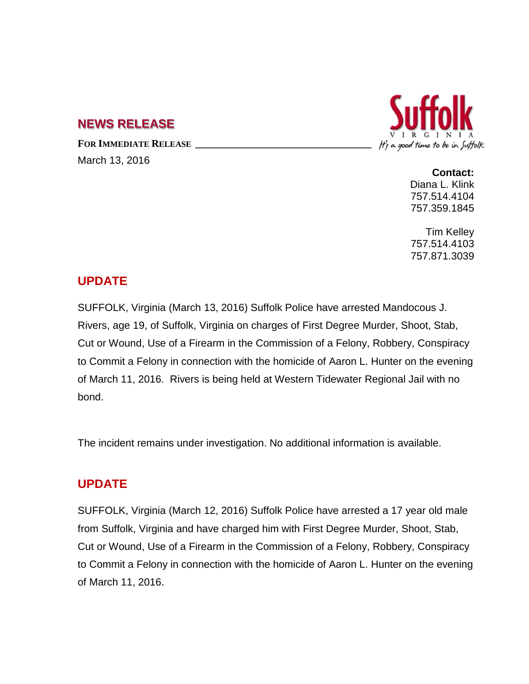## **NEWS RELEASE**

FOR **IMMEDIATE RELEASE** March 13, 2016



**Contact:** Diana L. Klink 757.514.4104 757.359.1845

Tim Kelley 757.514.4103 757.871.3039

### **UPDATE**

SUFFOLK, Virginia (March 13, 2016) Suffolk Police have arrested Mandocous J. Rivers, age 19, of Suffolk, Virginia on charges of First Degree Murder, Shoot, Stab, Cut or Wound, Use of a Firearm in the Commission of a Felony, Robbery, Conspiracy to Commit a Felony in connection with the homicide of Aaron L. Hunter on the evening of March 11, 2016. Rivers is being held at Western Tidewater Regional Jail with no bond.

The incident remains under investigation. No additional information is available.

# **UPDATE**

SUFFOLK, Virginia (March 12, 2016) Suffolk Police have arrested a 17 year old male from Suffolk, Virginia and have charged him with First Degree Murder, Shoot, Stab, Cut or Wound, Use of a Firearm in the Commission of a Felony, Robbery, Conspiracy to Commit a Felony in connection with the homicide of Aaron L. Hunter on the evening of March 11, 2016.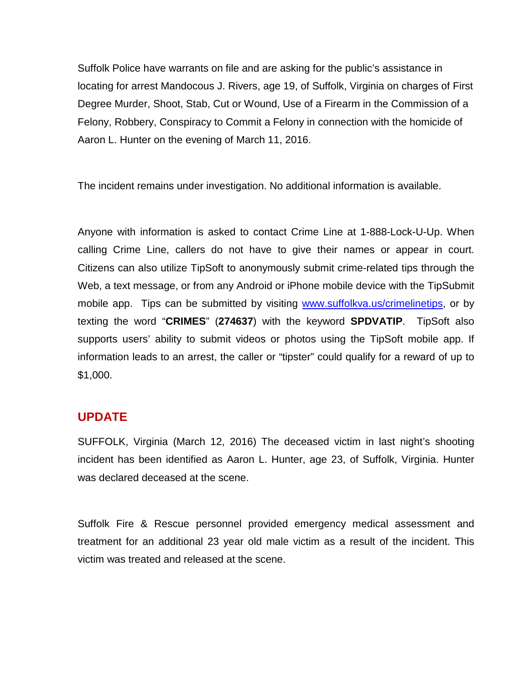Suffolk Police have warrants on file and are asking for the public's assistance in locating for arrest Mandocous J. Rivers, age 19, of Suffolk, Virginia on charges of First Degree Murder, Shoot, Stab, Cut or Wound, Use of a Firearm in the Commission of a Felony, Robbery, Conspiracy to Commit a Felony in connection with the homicide of Aaron L. Hunter on the evening of March 11, 2016.

The incident remains under investigation. No additional information is available.

Anyone with information is asked to contact Crime Line at 1-888-Lock-U-Up. When calling Crime Line, callers do not have to give their names or appear in court. Citizens can also utilize TipSoft to anonymously submit crime-related tips through the Web, a text message, or from any Android or iPhone mobile device with the [TipSubmit](http://www.tipsoft.com/index.asp?P=TipSubmitMobile)  [mobile app.](http://www.tipsoft.com/index.asp?P=TipSubmitMobile) Tips can be submitted by visiting [www.suffolkva.us/crimelinetips,](http://www.suffolkva.us/crimelinetips) or by texting the word "**CRIMES**" (**274637**) with the keyword **SPDVATIP**. TipSoft also supports users' ability to submit videos or photos using the TipSoft mobile app. If information leads to an arrest, the caller or "tipster" could qualify for a reward of up to \$1,000.

#### **UPDATE**

SUFFOLK, Virginia (March 12, 2016) The deceased victim in last night's shooting incident has been identified as Aaron L. Hunter, age 23, of Suffolk, Virginia. Hunter was declared deceased at the scene.

Suffolk Fire & Rescue personnel provided emergency medical assessment and treatment for an additional 23 year old male victim as a result of the incident. This victim was treated and released at the scene.